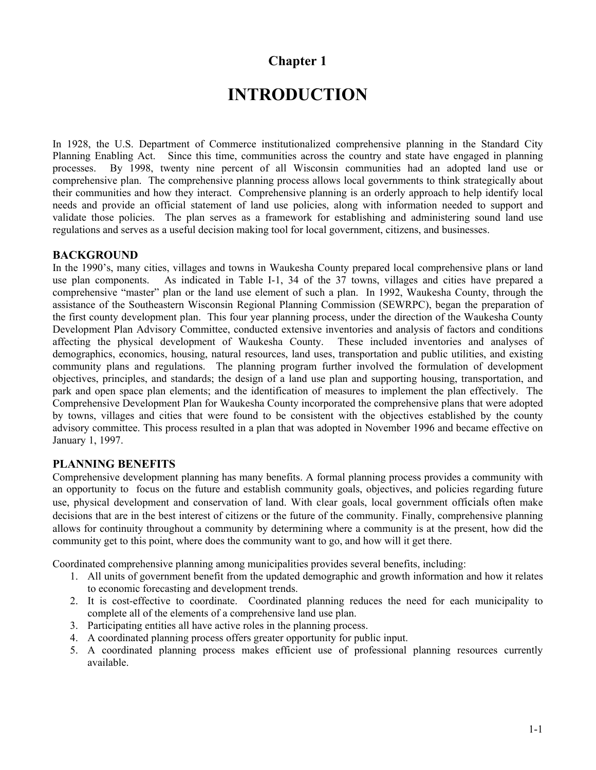## **Chapter 1**

# **INTRODUCTION**

In 1928, the U.S. Department of Commerce institutionalized comprehensive planning in the Standard City Planning Enabling Act. Since this time, communities across the country and state have engaged in planning processes. By 1998, twenty nine percent of all Wisconsin communities had an adopted land use or comprehensive plan. The comprehensive planning process allows local governments to think strategically about their communities and how they interact. Comprehensive planning is an orderly approach to help identify local needs and provide an official statement of land use policies, along with information needed to support and validate those policies. The plan serves as a framework for establishing and administering sound land use regulations and serves as a useful decision making tool for local government, citizens, and businesses.

### **BACKGROUND**

In the 1990's, many cities, villages and towns in Waukesha County prepared local comprehensive plans or land use plan components. As indicated in Table I-1, 34 of the 37 towns, villages and cities have prepared a comprehensive "master" plan or the land use element of such a plan. In 1992, Waukesha County, through the assistance of the Southeastern Wisconsin Regional Planning Commission (SEWRPC), began the preparation of the first county development plan. This four year planning process, under the direction of the Waukesha County Development Plan Advisory Committee, conducted extensive inventories and analysis of factors and conditions affecting the physical development of Waukesha County. These included inventories and analyses of demographics, economics, housing, natural resources, land uses, transportation and public utilities, and existing community plans and regulations. The planning program further involved the formulation of development objectives, principles, and standards; the design of a land use plan and supporting housing, transportation, and park and open space plan elements; and the identification of measures to implement the plan effectively. The Comprehensive Development Plan for Waukesha County incorporated the comprehensive plans that were adopted by towns, villages and cities that were found to be consistent with the objectives established by the county advisory committee. This process resulted in a plan that was adopted in November 1996 and became effective on January 1, 1997.

### **PLANNING BENEFITS**

Comprehensive development planning has many benefits. A formal planning process provides a community with an opportunity to focus on the future and establish community goals, objectives, and policies regarding future use, physical development and conservation of land. With clear goals, local government officials often make decisions that are in the best interest of citizens or the future of the community. Finally, comprehensive planning allows for continuity throughout a community by determining where a community is at the present, how did the community get to this point, where does the community want to go, and how will it get there.

Coordinated comprehensive planning among municipalities provides several benefits, including:

- 1. All units of government benefit from the updated demographic and growth information and how it relates to economic forecasting and development trends.
- 2. It is cost-effective to coordinate. Coordinated planning reduces the need for each municipality to complete all of the elements of a comprehensive land use plan.
- 3. Participating entities all have active roles in the planning process.
- 4. A coordinated planning process offers greater opportunity for public input.
- 5. A coordinated planning process makes efficient use of professional planning resources currently available.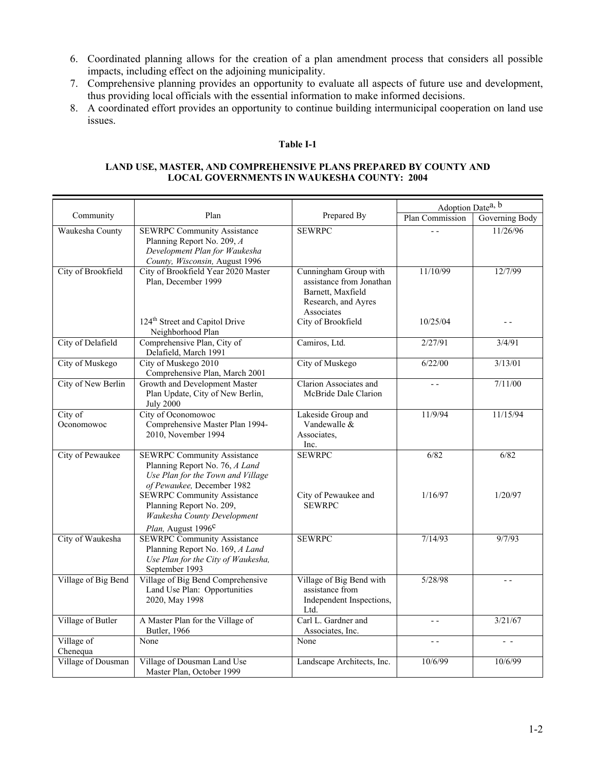- 6. Coordinated planning allows for the creation of a plan amendment process that considers all possible impacts, including effect on the adjoining municipality.
- 7. Comprehensive planning provides an opportunity to evaluate all aspects of future use and development, thus providing local officials with the essential information to make informed decisions.
- 8. A coordinated effort provides an opportunity to continue building intermunicipal cooperation on land use issues.

#### **Table I-1**

#### **LAND USE, MASTER, AND COMPREHENSIVE PLANS PREPARED BY COUNTY AND LOCAL GOVERNMENTS IN WAUKESHA COUNTY: 2004**

|                        |                                                                                                                                         |                                                                                                                                   | Adoption Date <sup>a, b</sup> |                          |
|------------------------|-----------------------------------------------------------------------------------------------------------------------------------------|-----------------------------------------------------------------------------------------------------------------------------------|-------------------------------|--------------------------|
| Community              | Plan                                                                                                                                    | Prepared By                                                                                                                       | Plan Commission               | Governing Body           |
| Waukesha County        | <b>SEWRPC Community Assistance</b><br>Planning Report No. 209, A<br>Development Plan for Waukesha<br>County, Wisconsin, August 1996     | <b>SEWRPC</b>                                                                                                                     | $\overline{a}$                | 11/26/96                 |
| City of Brookfield     | City of Brookfield Year 2020 Master<br>Plan, December 1999<br>124 <sup>th</sup> Street and Capitol Drive                                | Cunningham Group with<br>assistance from Jonathan<br>Barnett, Maxfield<br>Research, and Ayres<br>Associates<br>City of Brookfield | 11/10/99<br>10/25/04          | 12/7/99<br>$\sim$ $\sim$ |
|                        | Neighborhood Plan                                                                                                                       |                                                                                                                                   |                               |                          |
| City of Delafield      | Comprehensive Plan, City of<br>Delafield, March 1991                                                                                    | Camiros, Ltd.                                                                                                                     | 2/27/91                       | 3/4/91                   |
| City of Muskego        | City of Muskego 2010<br>Comprehensive Plan, March 2001                                                                                  | City of Muskego                                                                                                                   | 6/22/00                       | 3/13/01                  |
| City of New Berlin     | Growth and Development Master<br>Plan Update, City of New Berlin,<br><b>July 2000</b>                                                   | <b>Clarion Associates and</b><br>McBride Dale Clarion                                                                             | $ -$                          | 7/11/00                  |
| City of<br>Oconomowoc  | City of Oconomowoc<br>Comprehensive Master Plan 1994-<br>2010, November 1994                                                            | Lakeside Group and<br>Vandewalle &<br>Associates,<br>Inc.                                                                         | 11/9/94                       | 11/15/94                 |
| City of Pewaukee       | <b>SEWRPC Community Assistance</b><br>Planning Report No. 76, A Land<br>Use Plan for the Town and Village<br>of Pewaukee, December 1982 | <b>SEWRPC</b>                                                                                                                     | 6/82                          | 6/82                     |
|                        | <b>SEWRPC Community Assistance</b><br>Planning Report No. 209,<br>Waukesha County Development<br>Plan, August 1996 <sup>c</sup>         | City of Pewaukee and<br><b>SEWRPC</b>                                                                                             | 1/16/97                       | 1/20/97                  |
| City of Waukesha       | <b>SEWRPC Community Assistance</b><br>Planning Report No. 169, A Land<br>Use Plan for the City of Waukesha,<br>September 1993           | <b>SEWRPC</b>                                                                                                                     | 7/14/93                       | 9/7/93                   |
| Village of Big Bend    | Village of Big Bend Comprehensive<br>Land Use Plan: Opportunities<br>2020, May 1998                                                     | Village of Big Bend with<br>assistance from<br>Independent Inspections,<br>Ltd.                                                   | 5/28/98                       | $-$                      |
| Village of Butler      | A Master Plan for the Village of<br>Butler, 1966                                                                                        | Carl L. Gardner and<br>Associates, Inc.                                                                                           | $ -$                          | 3/21/67                  |
| Village of<br>Chenequa | None                                                                                                                                    | None                                                                                                                              | $ -$                          | $ -$                     |
| Village of Dousman     | Village of Dousman Land Use<br>Master Plan, October 1999                                                                                | Landscape Architects, Inc.                                                                                                        | 10/6/99                       | 10/6/99                  |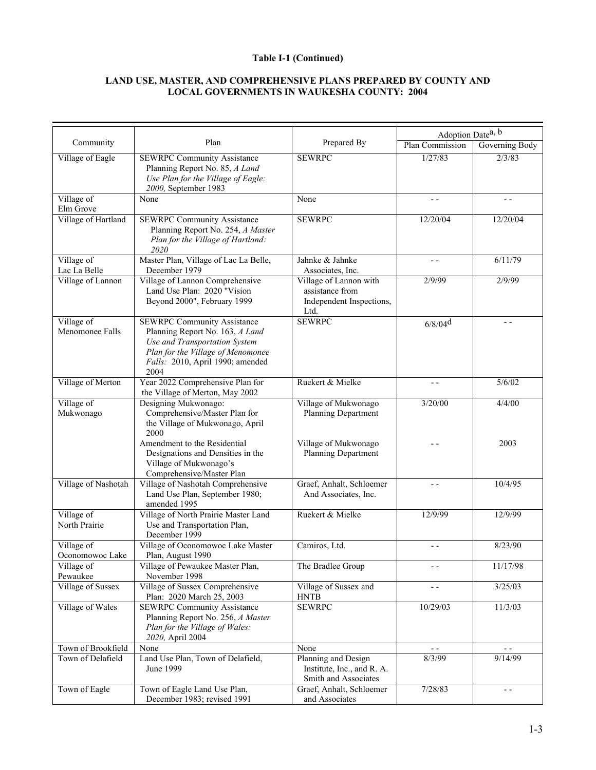#### **Table I-1 (Continued)**

### **LAND USE, MASTER, AND COMPREHENSIVE PLANS PREPARED BY COUNTY AND LOCAL GOVERNMENTS IN WAUKESHA COUNTY: 2004**

|                            |                                                                                |                                                  | Adoption Date <sup>a, b</sup> |                |
|----------------------------|--------------------------------------------------------------------------------|--------------------------------------------------|-------------------------------|----------------|
| Community                  | Plan                                                                           | Prepared By                                      | Plan Commission               | Governing Body |
| Village of Eagle           | <b>SEWRPC Community Assistance</b><br>Planning Report No. 85, A Land           | <b>SEWRPC</b>                                    | 1/27/83                       | 2/3/83         |
|                            | Use Plan for the Village of Eagle:<br>2000, September 1983                     |                                                  |                               |                |
| Village of<br>Elm Grove    | None                                                                           | None                                             | $ -$                          | $ -$           |
| Village of Hartland        | <b>SEWRPC Community Assistance</b>                                             | <b>SEWRPC</b>                                    | 12/20/04                      | 12/20/04       |
|                            | Planning Report No. 254, A Master<br>Plan for the Village of Hartland:<br>2020 |                                                  |                               |                |
| Village of<br>Lac La Belle | Master Plan, Village of Lac La Belle,<br>December 1979                         | Jahnke & Jahnke<br>Associates, Inc.              | $ -$                          | 6/11/79        |
| Village of Lannon          | Village of Lannon Comprehensive                                                | Village of Lannon with                           | 2/9/99                        | 2/9/99         |
|                            | Land Use Plan: 2020 "Vision                                                    | assistance from                                  |                               |                |
|                            | Beyond 2000", February 1999                                                    | Independent Inspections,<br>Ltd.                 |                               |                |
| Village of                 | <b>SEWRPC Community Assistance</b>                                             | <b>SEWRPC</b>                                    | $6/8/04$ <sup>d</sup>         | $ -$           |
| Menomonee Falls            | Planning Report No. 163, A Land<br>Use and Transportation System               |                                                  |                               |                |
|                            | Plan for the Village of Menomonee                                              |                                                  |                               |                |
|                            | Falls: 2010, April 1990; amended<br>2004                                       |                                                  |                               |                |
| Village of Merton          | Year 2022 Comprehensive Plan for                                               | Ruekert & Mielke                                 | $ -$                          | 5/6/02         |
|                            | the Village of Merton, May 2002                                                |                                                  |                               |                |
| Village of                 | Designing Mukwonago:                                                           | Village of Mukwonago                             | 3/20/00                       | 4/4/00         |
| Mukwonago                  | Comprehensive/Master Plan for                                                  | Planning Department                              |                               |                |
|                            | the Village of Mukwonago, April<br>2000                                        |                                                  |                               |                |
|                            | Amendment to the Residential                                                   | Village of Mukwonago                             |                               | 2003           |
|                            | Designations and Densities in the                                              | Planning Department                              |                               |                |
|                            | Village of Mukwonago's                                                         |                                                  |                               |                |
| Village of Nashotah        | Comprehensive/Master Plan<br>Village of Nashotah Comprehensive                 | Graef, Anhalt, Schloemer                         | - -                           | 10/4/95        |
|                            | Land Use Plan, September 1980;                                                 | And Associates, Inc.                             |                               |                |
|                            | amended 1995                                                                   |                                                  |                               |                |
| Village of                 | Village of North Prairie Master Land                                           | Ruekert & Mielke                                 | 12/9/99                       | 12/9/99        |
| North Prairie              | Use and Transportation Plan,                                                   |                                                  |                               |                |
| Village of                 | December 1999<br>Village of Oconomowoc Lake Master                             | Camiros, Ltd.                                    | $ -$                          | 8/23/90        |
| Oconomowoc Lake            | Plan, August 1990                                                              |                                                  |                               |                |
| Village of                 | Village of Pewaukee Master Plan,                                               | The Bradlee Group                                | $ -$                          | 11/17/98       |
| Pewaukee                   | November 1998                                                                  |                                                  |                               |                |
| Village of Sussex          | Village of Sussex Comprehensive<br>Plan: 2020 March 25, 2003                   | Village of Sussex and<br><b>HNTB</b>             | $ -$                          | 3/25/03        |
| Village of Wales           | <b>SEWRPC Community Assistance</b>                                             | <b>SEWRPC</b>                                    | 10/29/03                      | 11/3/03        |
|                            | Planning Report No. 256, A Master                                              |                                                  |                               |                |
|                            | Plan for the Village of Wales:<br>2020, April 2004                             |                                                  |                               |                |
| Town of Brookfield         | None                                                                           | None                                             | $ -$                          | $\sim$ $\sim$  |
| Town of Delafield          | Land Use Plan, Town of Delafield,                                              | Planning and Design                              | 8/3/99                        | 9/14/99        |
|                            | June 1999                                                                      | Institute, Inc., and R. A.                       |                               |                |
| Town of Eagle              | Town of Eagle Land Use Plan,                                                   | Smith and Associates<br>Graef, Anhalt, Schloemer | 7/28/83                       | $ -$           |
|                            | December 1983; revised 1991                                                    | and Associates                                   |                               |                |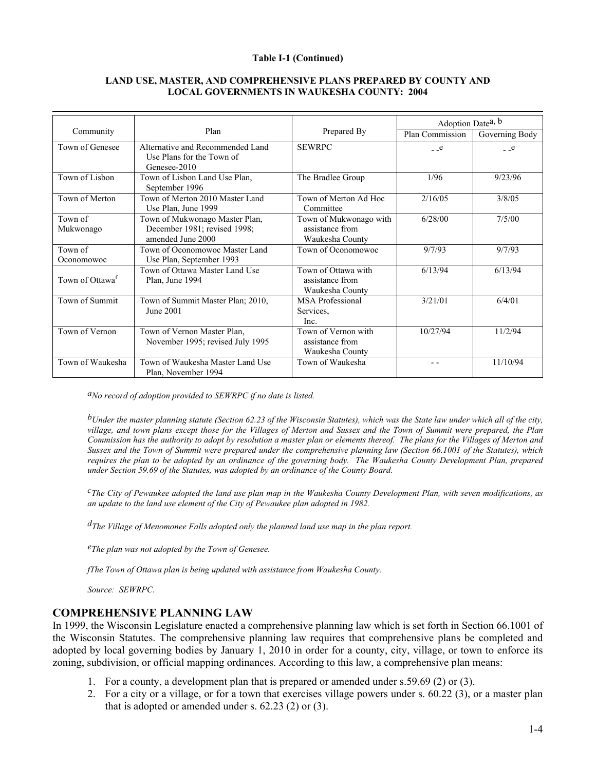#### **Table I-1 (Continued)**

#### **LAND USE, MASTER, AND COMPREHENSIVE PLANS PREPARED BY COUNTY AND LOCAL GOVERNMENTS IN WAUKESHA COUNTY: 2004**

|                             |                                                                                     |                                                              | Adoption Date <sup>a, b</sup> |                       |
|-----------------------------|-------------------------------------------------------------------------------------|--------------------------------------------------------------|-------------------------------|-----------------------|
| Community                   | Plan                                                                                | Prepared By                                                  | Plan Commission               | Governing Body        |
| Town of Genesee             | Alternative and Recommended Land<br>Use Plans for the Town of<br>Genesee-2010       | <b>SEWRPC</b>                                                | $-c$                          | $_{\rm -}$ $_{\rm e}$ |
| Town of Lisbon              | Town of Lisbon Land Use Plan,<br>September 1996                                     | The Bradlee Group                                            | 1/96                          | 9/23/96               |
| Town of Merton              | Town of Merton 2010 Master Land<br>Use Plan, June 1999                              | Town of Merton Ad Hoc<br>Committee                           | 2/16/05                       | 3/8/05                |
| Town of<br>Mukwonago        | Town of Mukwonago Master Plan,<br>December 1981; revised 1998;<br>amended June 2000 | Town of Mukwonago with<br>assistance from<br>Waukesha County | 6/28/00                       | 7/5/00                |
| Town of<br>Oconomowoc       | Town of Oconomowoc Master Land<br>Use Plan, September 1993                          | Town of Oconomowoc                                           | 9/7/93                        | 9/7/93                |
| Town of Ottawa <sup>f</sup> | Town of Ottawa Master Land Use<br>Plan, June 1994                                   | Town of Ottawa with<br>assistance from<br>Waukesha County    | 6/13/94                       | 6/13/94               |
| Town of Summit              | Town of Summit Master Plan; 2010,<br>June 2001                                      | <b>MSA</b> Professional<br>Services,<br>Inc.                 | 3/21/01                       | 6/4/01                |
| Town of Vernon              | Town of Vernon Master Plan,<br>November 1995; revised July 1995                     | Town of Vernon with<br>assistance from<br>Waukesha County    | 10/27/94                      | 11/2/94               |
| Town of Waukesha            | Town of Waukesha Master Land Use<br>Plan, November 1994                             | Town of Waukesha                                             |                               | 11/10/94              |

*aNo record of adoption provided to SEWRPC if no date is listed.* 

*bUnder the master planning statute (Section 62.23 of the Wisconsin Statutes), which was the State law under which all of the city, village, and town plans except those for the Villages of Merton and Sussex and the Town of Summit were prepared, the Plan Commission has the authority to adopt by resolution a master plan or elements thereof. The plans for the Villages of Merton and Sussex and the Town of Summit were prepared under the comprehensive planning law (Section 66.1001 of the Statutes), which requires the plan to be adopted by an ordinance of the governing body. The Waukesha County Development Plan, prepared under Section 59.69 of the Statutes, was adopted by an ordinance of the County Board.* 

*cThe City of Pewaukee adopted the land use plan map in the Waukesha County Development Plan, with seven modifications, as an update to the land use element of the City of Pewaukee plan adopted in 1982.* 

*dThe Village of Menomonee Falls adopted only the planned land use map in the plan report.* 

*eThe plan was not adopted by the Town of Genesee.* 

*fThe Town of Ottawa plan is being updated with assistance from Waukesha County.* 

*Source: SEWRPC*.

### **COMPREHENSIVE PLANNING LAW**

In 1999, the Wisconsin Legislature enacted a comprehensive planning law which is set forth in Section 66.1001 of the Wisconsin Statutes. The comprehensive planning law requires that comprehensive plans be completed and adopted by local governing bodies by January 1, 2010 in order for a county, city, village, or town to enforce its zoning, subdivision, or official mapping ordinances. According to this law, a comprehensive plan means:

- 1. For a county, a development plan that is prepared or amended under s.59.69 (2) or (3).
- 2. For a city or a village, or for a town that exercises village powers under s. 60.22 (3), or a master plan that is adopted or amended under s. 62.23 (2) or (3).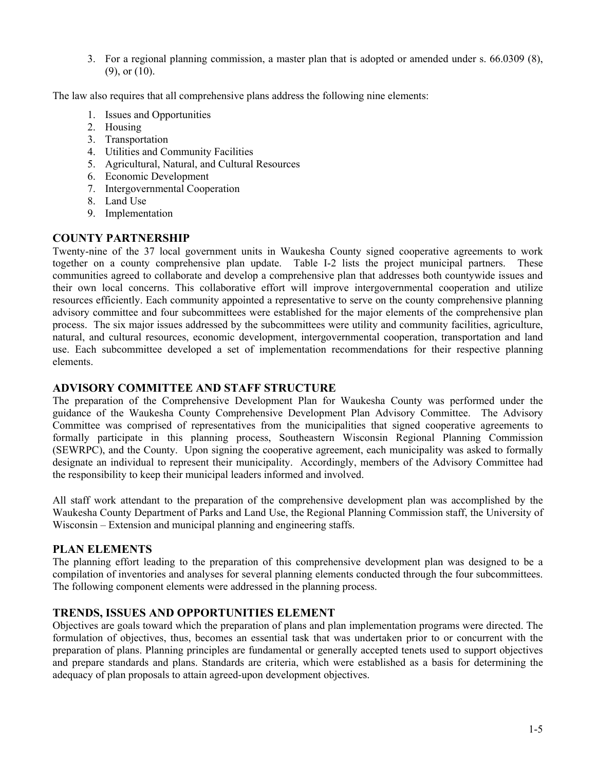3. For a regional planning commission, a master plan that is adopted or amended under s. 66.0309 (8), (9), or (10).

The law also requires that all comprehensive plans address the following nine elements:

- 1. Issues and Opportunities
- 2. Housing
- 3. Transportation
- 4. Utilities and Community Facilities
- 5. Agricultural, Natural, and Cultural Resources
- 6. Economic Development
- 7. Intergovernmental Cooperation
- 8. Land Use
- 9. Implementation

### **COUNTY PARTNERSHIP**

Twenty-nine of the 37 local government units in Waukesha County signed cooperative agreements to work together on a county comprehensive plan update. Table I-2 lists the project municipal partners. These communities agreed to collaborate and develop a comprehensive plan that addresses both countywide issues and their own local concerns. This collaborative effort will improve intergovernmental cooperation and utilize resources efficiently. Each community appointed a representative to serve on the county comprehensive planning advisory committee and four subcommittees were established for the major elements of the comprehensive plan process. The six major issues addressed by the subcommittees were utility and community facilities, agriculture, natural, and cultural resources, economic development, intergovernmental cooperation, transportation and land use. Each subcommittee developed a set of implementation recommendations for their respective planning elements.

### **ADVISORY COMMITTEE AND STAFF STRUCTURE**

The preparation of the Comprehensive Development Plan for Waukesha County was performed under the guidance of the Waukesha County Comprehensive Development Plan Advisory Committee. The Advisory Committee was comprised of representatives from the municipalities that signed cooperative agreements to formally participate in this planning process, Southeastern Wisconsin Regional Planning Commission (SEWRPC), and the County. Upon signing the cooperative agreement, each municipality was asked to formally designate an individual to represent their municipality. Accordingly, members of the Advisory Committee had the responsibility to keep their municipal leaders informed and involved.

All staff work attendant to the preparation of the comprehensive development plan was accomplished by the Waukesha County Department of Parks and Land Use, the Regional Planning Commission staff, the University of Wisconsin – Extension and municipal planning and engineering staffs.

### **PLAN ELEMENTS**

The planning effort leading to the preparation of this comprehensive development plan was designed to be a compilation of inventories and analyses for several planning elements conducted through the four subcommittees. The following component elements were addressed in the planning process.

### **TRENDS, ISSUES AND OPPORTUNITIES ELEMENT**

Objectives are goals toward which the preparation of plans and plan implementation programs were directed. The formulation of objectives, thus, becomes an essential task that was undertaken prior to or concurrent with the preparation of plans. Planning principles are fundamental or generally accepted tenets used to support objectives and prepare standards and plans. Standards are criteria, which were established as a basis for determining the adequacy of plan proposals to attain agreed-upon development objectives.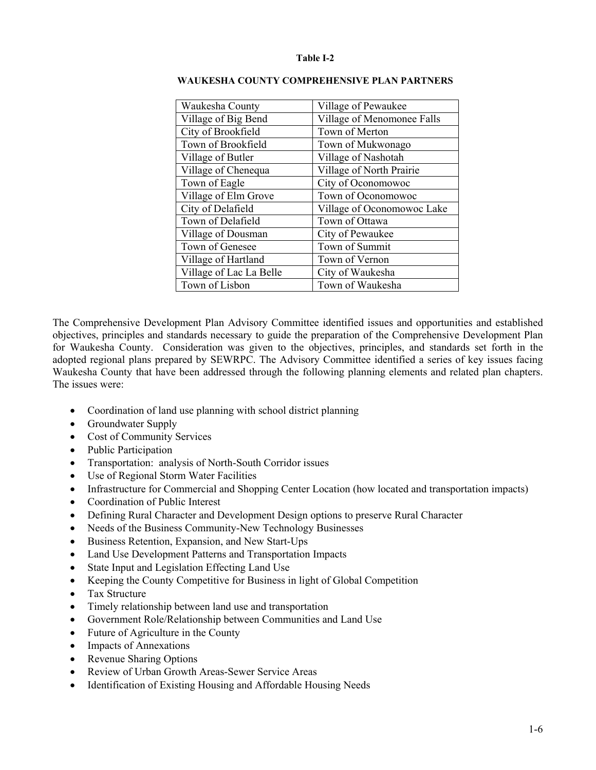#### **Table I-2**

| Waukesha County         | Village of Pewaukee        |  |
|-------------------------|----------------------------|--|
| Village of Big Bend     | Village of Menomonee Falls |  |
| City of Brookfield      | Town of Merton             |  |
| Town of Brookfield      | Town of Mukwonago          |  |
| Village of Butler       | Village of Nashotah        |  |
| Village of Chenequa     | Village of North Prairie   |  |
| Town of Eagle           | City of Oconomowoc         |  |
| Village of Elm Grove    | Town of Oconomowoc         |  |
| City of Delafield       | Village of Oconomowoc Lake |  |
| Town of Delafield       | Town of Ottawa             |  |
| Village of Dousman      | City of Pewaukee           |  |
| Town of Genesee         | Town of Summit             |  |
| Village of Hartland     | Town of Vernon             |  |
| Village of Lac La Belle | City of Waukesha           |  |
| Town of Lisbon          | Town of Waukesha           |  |
|                         |                            |  |

#### **WAUKESHA COUNTY COMPREHENSIVE PLAN PARTNERS**

The Comprehensive Development Plan Advisory Committee identified issues and opportunities and established objectives, principles and standards necessary to guide the preparation of the Comprehensive Development Plan for Waukesha County. Consideration was given to the objectives, principles, and standards set forth in the adopted regional plans prepared by SEWRPC. The Advisory Committee identified a series of key issues facing Waukesha County that have been addressed through the following planning elements and related plan chapters. The issues were:

- Coordination of land use planning with school district planning
- Groundwater Supply
- Cost of Community Services
- Public Participation
- Transportation: analysis of North-South Corridor issues
- Use of Regional Storm Water Facilities
- Infrastructure for Commercial and Shopping Center Location (how located and transportation impacts)
- Coordination of Public Interest
- Defining Rural Character and Development Design options to preserve Rural Character
- Needs of the Business Community-New Technology Businesses
- Business Retention, Expansion, and New Start-Ups
- Land Use Development Patterns and Transportation Impacts
- State Input and Legislation Effecting Land Use
- Keeping the County Competitive for Business in light of Global Competition
- Tax Structure
- Timely relationship between land use and transportation
- Government Role/Relationship between Communities and Land Use
- Future of Agriculture in the County
- Impacts of Annexations
- Revenue Sharing Options
- Review of Urban Growth Areas-Sewer Service Areas
- Identification of Existing Housing and Affordable Housing Needs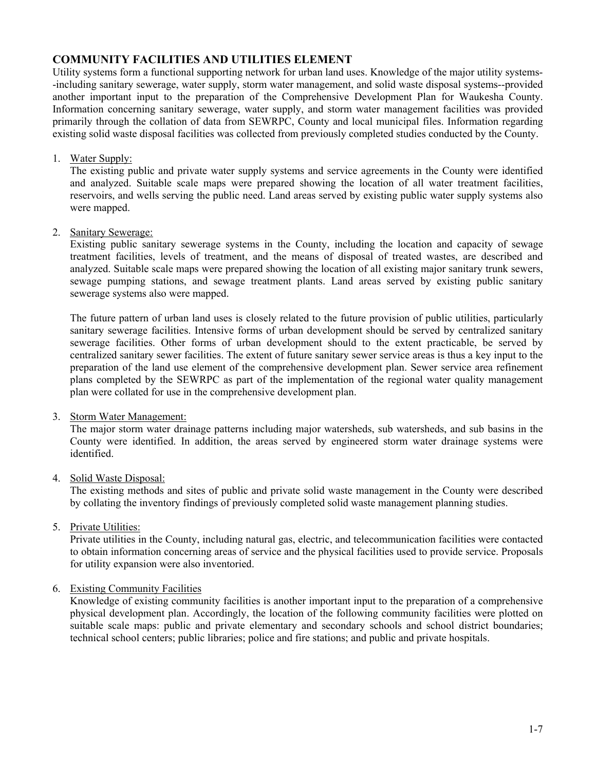### **COMMUNITY FACILITIES AND UTILITIES ELEMENT**

Utility systems form a functional supporting network for urban land uses. Knowledge of the major utility systems- -including sanitary sewerage, water supply, storm water management, and solid waste disposal systems--provided another important input to the preparation of the Comprehensive Development Plan for Waukesha County. Information concerning sanitary sewerage, water supply, and storm water management facilities was provided primarily through the collation of data from SEWRPC, County and local municipal files. Information regarding existing solid waste disposal facilities was collected from previously completed studies conducted by the County.

### 1. Water Supply:

 The existing public and private water supply systems and service agreements in the County were identified and analyzed. Suitable scale maps were prepared showing the location of all water treatment facilities, reservoirs, and wells serving the public need. Land areas served by existing public water supply systems also were mapped.

### 2. Sanitary Sewerage:

 Existing public sanitary sewerage systems in the County, including the location and capacity of sewage treatment facilities, levels of treatment, and the means of disposal of treated wastes, are described and analyzed. Suitable scale maps were prepared showing the location of all existing major sanitary trunk sewers, sewage pumping stations, and sewage treatment plants. Land areas served by existing public sanitary sewerage systems also were mapped.

 The future pattern of urban land uses is closely related to the future provision of public utilities, particularly sanitary sewerage facilities. Intensive forms of urban development should be served by centralized sanitary sewerage facilities. Other forms of urban development should to the extent practicable, be served by centralized sanitary sewer facilities. The extent of future sanitary sewer service areas is thus a key input to the preparation of the land use element of the comprehensive development plan. Sewer service area refinement plans completed by the SEWRPC as part of the implementation of the regional water quality management plan were collated for use in the comprehensive development plan.

### 3. Storm Water Management:

 The major storm water drainage patterns including major watersheds, sub watersheds, and sub basins in the County were identified. In addition, the areas served by engineered storm water drainage systems were identified.

### 4. Solid Waste Disposal:

 The existing methods and sites of public and private solid waste management in the County were described by collating the inventory findings of previously completed solid waste management planning studies.

### 5. Private Utilities:

 Private utilities in the County, including natural gas, electric, and telecommunication facilities were contacted to obtain information concerning areas of service and the physical facilities used to provide service. Proposals for utility expansion were also inventoried.

### 6. Existing Community Facilities

 Knowledge of existing community facilities is another important input to the preparation of a comprehensive physical development plan. Accordingly, the location of the following community facilities were plotted on suitable scale maps: public and private elementary and secondary schools and school district boundaries; technical school centers; public libraries; police and fire stations; and public and private hospitals.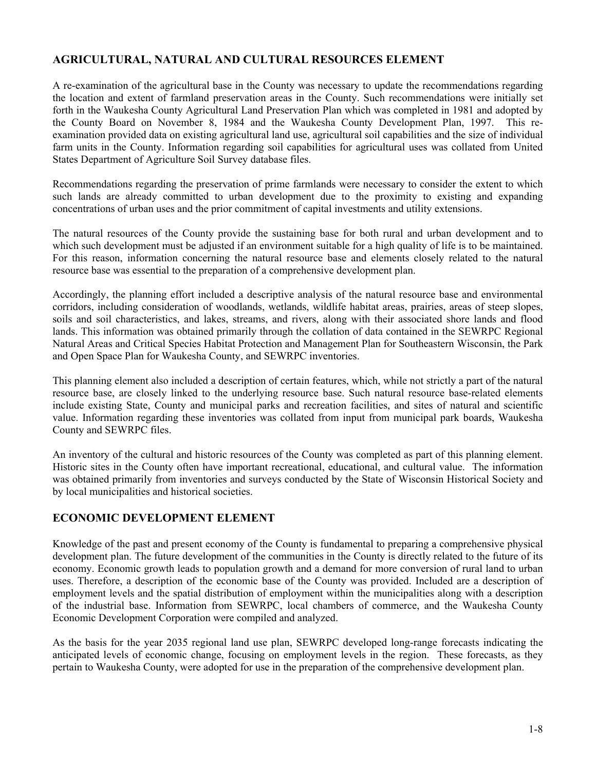### **AGRICULTURAL, NATURAL AND CULTURAL RESOURCES ELEMENT**

A re-examination of the agricultural base in the County was necessary to update the recommendations regarding the location and extent of farmland preservation areas in the County. Such recommendations were initially set forth in the Waukesha County Agricultural Land Preservation Plan which was completed in 1981 and adopted by the County Board on November 8, 1984 and the Waukesha County Development Plan, 1997. This reexamination provided data on existing agricultural land use, agricultural soil capabilities and the size of individual farm units in the County. Information regarding soil capabilities for agricultural uses was collated from United States Department of Agriculture Soil Survey database files.

Recommendations regarding the preservation of prime farmlands were necessary to consider the extent to which such lands are already committed to urban development due to the proximity to existing and expanding concentrations of urban uses and the prior commitment of capital investments and utility extensions.

The natural resources of the County provide the sustaining base for both rural and urban development and to which such development must be adjusted if an environment suitable for a high quality of life is to be maintained. For this reason, information concerning the natural resource base and elements closely related to the natural resource base was essential to the preparation of a comprehensive development plan.

Accordingly, the planning effort included a descriptive analysis of the natural resource base and environmental corridors, including consideration of woodlands, wetlands, wildlife habitat areas, prairies, areas of steep slopes, soils and soil characteristics, and lakes, streams, and rivers, along with their associated shore lands and flood lands. This information was obtained primarily through the collation of data contained in the SEWRPC Regional Natural Areas and Critical Species Habitat Protection and Management Plan for Southeastern Wisconsin, the Park and Open Space Plan for Waukesha County, and SEWRPC inventories.

This planning element also included a description of certain features, which, while not strictly a part of the natural resource base, are closely linked to the underlying resource base. Such natural resource base-related elements include existing State, County and municipal parks and recreation facilities, and sites of natural and scientific value. Information regarding these inventories was collated from input from municipal park boards, Waukesha County and SEWRPC files.

An inventory of the cultural and historic resources of the County was completed as part of this planning element. Historic sites in the County often have important recreational, educational, and cultural value. The information was obtained primarily from inventories and surveys conducted by the State of Wisconsin Historical Society and by local municipalities and historical societies.

### **ECONOMIC DEVELOPMENT ELEMENT**

Knowledge of the past and present economy of the County is fundamental to preparing a comprehensive physical development plan. The future development of the communities in the County is directly related to the future of its economy. Economic growth leads to population growth and a demand for more conversion of rural land to urban uses. Therefore, a description of the economic base of the County was provided. Included are a description of employment levels and the spatial distribution of employment within the municipalities along with a description of the industrial base. Information from SEWRPC, local chambers of commerce, and the Waukesha County Economic Development Corporation were compiled and analyzed.

As the basis for the year 2035 regional land use plan, SEWRPC developed long-range forecasts indicating the anticipated levels of economic change, focusing on employment levels in the region. These forecasts, as they pertain to Waukesha County, were adopted for use in the preparation of the comprehensive development plan.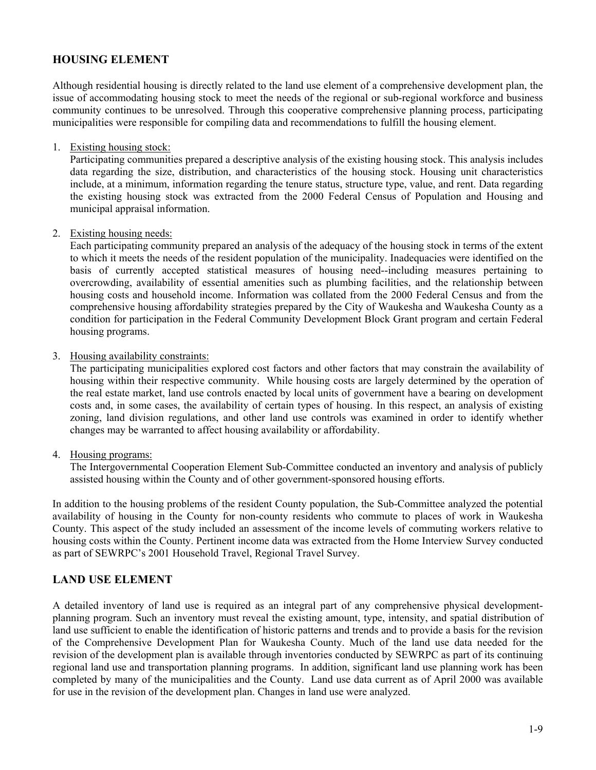### **HOUSING ELEMENT**

Although residential housing is directly related to the land use element of a comprehensive development plan, the issue of accommodating housing stock to meet the needs of the regional or sub-regional workforce and business community continues to be unresolved. Through this cooperative comprehensive planning process, participating municipalities were responsible for compiling data and recommendations to fulfill the housing element.

### 1. Existing housing stock:

 Participating communities prepared a descriptive analysis of the existing housing stock. This analysis includes data regarding the size, distribution, and characteristics of the housing stock. Housing unit characteristics include, at a minimum, information regarding the tenure status, structure type, value, and rent. Data regarding the existing housing stock was extracted from the 2000 Federal Census of Population and Housing and municipal appraisal information.

### 2. Existing housing needs:

 Each participating community prepared an analysis of the adequacy of the housing stock in terms of the extent to which it meets the needs of the resident population of the municipality. Inadequacies were identified on the basis of currently accepted statistical measures of housing need--including measures pertaining to overcrowding, availability of essential amenities such as plumbing facilities, and the relationship between housing costs and household income. Information was collated from the 2000 Federal Census and from the comprehensive housing affordability strategies prepared by the City of Waukesha and Waukesha County as a condition for participation in the Federal Community Development Block Grant program and certain Federal housing programs.

### 3. Housing availability constraints:

 The participating municipalities explored cost factors and other factors that may constrain the availability of housing within their respective community. While housing costs are largely determined by the operation of the real estate market, land use controls enacted by local units of government have a bearing on development costs and, in some cases, the availability of certain types of housing. In this respect, an analysis of existing zoning, land division regulations, and other land use controls was examined in order to identify whether changes may be warranted to affect housing availability or affordability.

### 4. Housing programs:

 The Intergovernmental Cooperation Element Sub-Committee conducted an inventory and analysis of publicly assisted housing within the County and of other government-sponsored housing efforts.

In addition to the housing problems of the resident County population, the Sub-Committee analyzed the potential availability of housing in the County for non-county residents who commute to places of work in Waukesha County. This aspect of the study included an assessment of the income levels of commuting workers relative to housing costs within the County. Pertinent income data was extracted from the Home Interview Survey conducted as part of SEWRPC's 2001 Household Travel, Regional Travel Survey.

### **LAND USE ELEMENT**

A detailed inventory of land use is required as an integral part of any comprehensive physical developmentplanning program. Such an inventory must reveal the existing amount, type, intensity, and spatial distribution of land use sufficient to enable the identification of historic patterns and trends and to provide a basis for the revision of the Comprehensive Development Plan for Waukesha County. Much of the land use data needed for the revision of the development plan is available through inventories conducted by SEWRPC as part of its continuing regional land use and transportation planning programs. In addition, significant land use planning work has been completed by many of the municipalities and the County. Land use data current as of April 2000 was available for use in the revision of the development plan. Changes in land use were analyzed.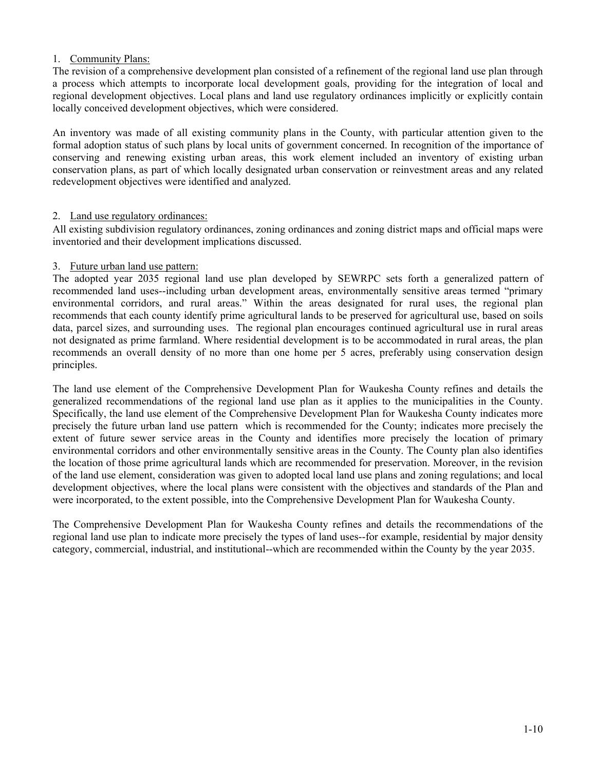### 1. Community Plans:

The revision of a comprehensive development plan consisted of a refinement of the regional land use plan through a process which attempts to incorporate local development goals, providing for the integration of local and regional development objectives. Local plans and land use regulatory ordinances implicitly or explicitly contain locally conceived development objectives, which were considered.

An inventory was made of all existing community plans in the County, with particular attention given to the formal adoption status of such plans by local units of government concerned. In recognition of the importance of conserving and renewing existing urban areas, this work element included an inventory of existing urban conservation plans, as part of which locally designated urban conservation or reinvestment areas and any related redevelopment objectives were identified and analyzed.

### 2. Land use regulatory ordinances:

All existing subdivision regulatory ordinances, zoning ordinances and zoning district maps and official maps were inventoried and their development implications discussed.

### 3. Future urban land use pattern:

 The adopted year 2035 regional land use plan developed by SEWRPC sets forth a generalized pattern of recommended land uses--including urban development areas, environmentally sensitive areas termed "primary environmental corridors, and rural areas." Within the areas designated for rural uses, the regional plan recommends that each county identify prime agricultural lands to be preserved for agricultural use, based on soils data, parcel sizes, and surrounding uses. The regional plan encourages continued agricultural use in rural areas not designated as prime farmland. Where residential development is to be accommodated in rural areas, the plan recommends an overall density of no more than one home per 5 acres, preferably using conservation design principles.

The land use element of the Comprehensive Development Plan for Waukesha County refines and details the generalized recommendations of the regional land use plan as it applies to the municipalities in the County. Specifically, the land use element of the Comprehensive Development Plan for Waukesha County indicates more precisely the future urban land use pattern which is recommended for the County; indicates more precisely the extent of future sewer service areas in the County and identifies more precisely the location of primary environmental corridors and other environmentally sensitive areas in the County. The County plan also identifies the location of those prime agricultural lands which are recommended for preservation. Moreover, in the revision of the land use element, consideration was given to adopted local land use plans and zoning regulations; and local development objectives, where the local plans were consistent with the objectives and standards of the Plan and were incorporated, to the extent possible, into the Comprehensive Development Plan for Waukesha County.

The Comprehensive Development Plan for Waukesha County refines and details the recommendations of the regional land use plan to indicate more precisely the types of land uses--for example, residential by major density category, commercial, industrial, and institutional--which are recommended within the County by the year 2035.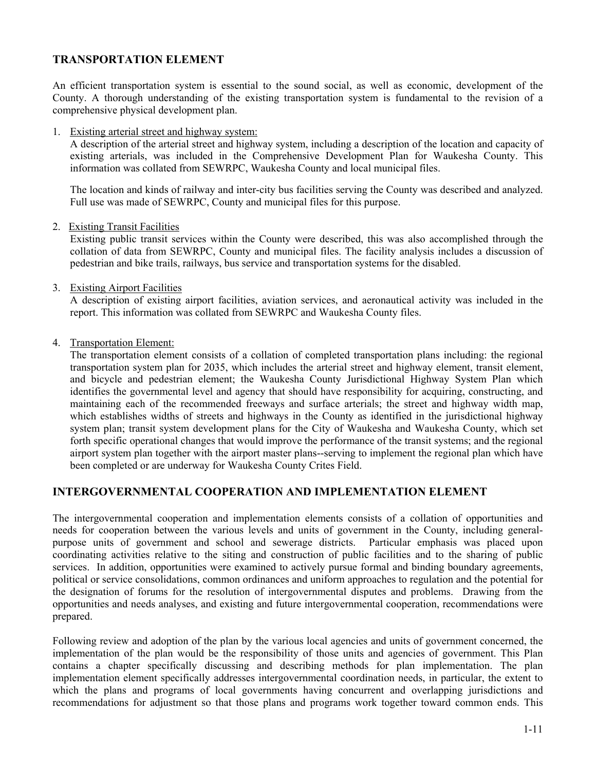### **TRANSPORTATION ELEMENT**

An efficient transportation system is essential to the sound social, as well as economic, development of the County. A thorough understanding of the existing transportation system is fundamental to the revision of a comprehensive physical development plan.

1. Existing arterial street and highway system:

A description of the arterial street and highway system, including a description of the location and capacity of existing arterials, was included in the Comprehensive Development Plan for Waukesha County. This information was collated from SEWRPC, Waukesha County and local municipal files.

The location and kinds of railway and inter-city bus facilities serving the County was described and analyzed. Full use was made of SEWRPC, County and municipal files for this purpose.

2. Existing Transit Facilities

Existing public transit services within the County were described, this was also accomplished through the collation of data from SEWRPC, County and municipal files. The facility analysis includes a discussion of pedestrian and bike trails, railways, bus service and transportation systems for the disabled.

3. Existing Airport Facilities

A description of existing airport facilities, aviation services, and aeronautical activity was included in the report. This information was collated from SEWRPC and Waukesha County files.

4. Transportation Element:

The transportation element consists of a collation of completed transportation plans including: the regional transportation system plan for 2035, which includes the arterial street and highway element, transit element, and bicycle and pedestrian element; the Waukesha County Jurisdictional Highway System Plan which identifies the governmental level and agency that should have responsibility for acquiring, constructing, and maintaining each of the recommended freeways and surface arterials; the street and highway width map, which establishes widths of streets and highways in the County as identified in the jurisdictional highway system plan; transit system development plans for the City of Waukesha and Waukesha County, which set forth specific operational changes that would improve the performance of the transit systems; and the regional airport system plan together with the airport master plans--serving to implement the regional plan which have been completed or are underway for Waukesha County Crites Field.

### **INTERGOVERNMENTAL COOPERATION AND IMPLEMENTATION ELEMENT**

The intergovernmental cooperation and implementation elements consists of a collation of opportunities and needs for cooperation between the various levels and units of government in the County, including generalpurpose units of government and school and sewerage districts. Particular emphasis was placed upon coordinating activities relative to the siting and construction of public facilities and to the sharing of public services. In addition, opportunities were examined to actively pursue formal and binding boundary agreements, political or service consolidations, common ordinances and uniform approaches to regulation and the potential for the designation of forums for the resolution of intergovernmental disputes and problems. Drawing from the opportunities and needs analyses, and existing and future intergovernmental cooperation, recommendations were prepared.

Following review and adoption of the plan by the various local agencies and units of government concerned, the implementation of the plan would be the responsibility of those units and agencies of government. This Plan contains a chapter specifically discussing and describing methods for plan implementation. The plan implementation element specifically addresses intergovernmental coordination needs, in particular, the extent to which the plans and programs of local governments having concurrent and overlapping jurisdictions and recommendations for adjustment so that those plans and programs work together toward common ends. This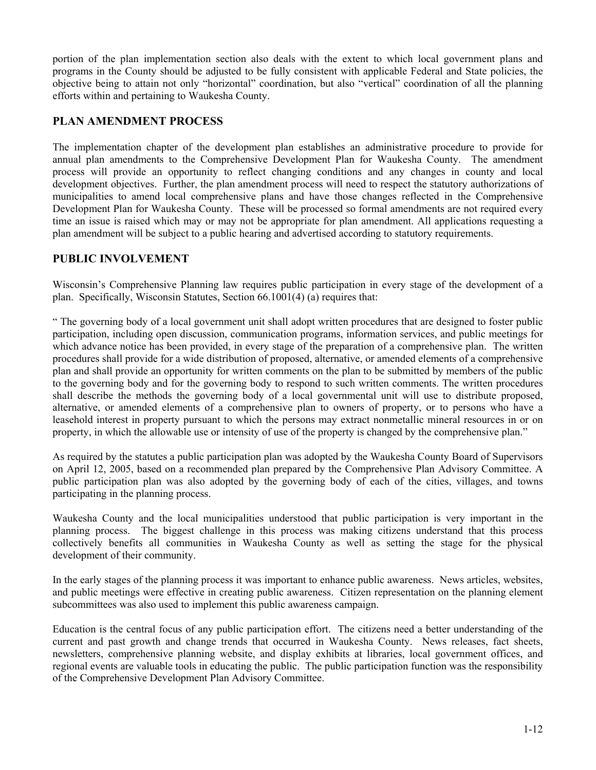portion of the plan implementation section also deals with the extent to which local government plans and programs in the County should be adjusted to be fully consistent with applicable Federal and State policies, the objective being to attain not only "horizontal" coordination, but also "vertical" coordination of all the planning efforts within and pertaining to Waukesha County.

### **PLAN AMENDMENT PROCESS**

The implementation chapter of the development plan establishes an administrative procedure to provide for annual plan amendments to the Comprehensive Development Plan for Waukesha County. The amendment process will provide an opportunity to reflect changing conditions and any changes in county and local development objectives. Further, the plan amendment process will need to respect the statutory authorizations of municipalities to amend local comprehensive plans and have those changes reflected in the Comprehensive Development Plan for Waukesha County. These will be processed so formal amendments are not required every time an issue is raised which may or may not be appropriate for plan amendment. All applications requesting a plan amendment will be subject to a public hearing and advertised according to statutory requirements.

### **PUBLIC INVOLVEMENT**

Wisconsin's Comprehensive Planning law requires public participation in every stage of the development of a plan. Specifically, Wisconsin Statutes, Section 66.1001(4) (a) requires that:

" The governing body of a local government unit shall adopt written procedures that are designed to foster public participation, including open discussion, communication programs, information services, and public meetings for which advance notice has been provided, in every stage of the preparation of a comprehensive plan. The written procedures shall provide for a wide distribution of proposed, alternative, or amended elements of a comprehensive plan and shall provide an opportunity for written comments on the plan to be submitted by members of the public to the governing body and for the governing body to respond to such written comments. The written procedures shall describe the methods the governing body of a local governmental unit will use to distribute proposed, alternative, or amended elements of a comprehensive plan to owners of property, or to persons who have a leasehold interest in property pursuant to which the persons may extract nonmetallic mineral resources in or on property, in which the allowable use or intensity of use of the property is changed by the comprehensive plan."

As required by the statutes a public participation plan was adopted by the Waukesha County Board of Supervisors on April 12, 2005, based on a recommended plan prepared by the Comprehensive Plan Advisory Committee. A public participation plan was also adopted by the governing body of each of the cities, villages, and towns participating in the planning process.

Waukesha County and the local municipalities understood that public participation is very important in the planning process. The biggest challenge in this process was making citizens understand that this process collectively benefits all communities in Waukesha County as well as setting the stage for the physical development of their community.

In the early stages of the planning process it was important to enhance public awareness. News articles, websites, and public meetings were effective in creating public awareness. Citizen representation on the planning element subcommittees was also used to implement this public awareness campaign.

Education is the central focus of any public participation effort. The citizens need a better understanding of the current and past growth and change trends that occurred in Waukesha County. News releases, fact sheets, newsletters, comprehensive planning website, and display exhibits at libraries, local government offices, and regional events are valuable tools in educating the public. The public participation function was the responsibility of the Comprehensive Development Plan Advisory Committee.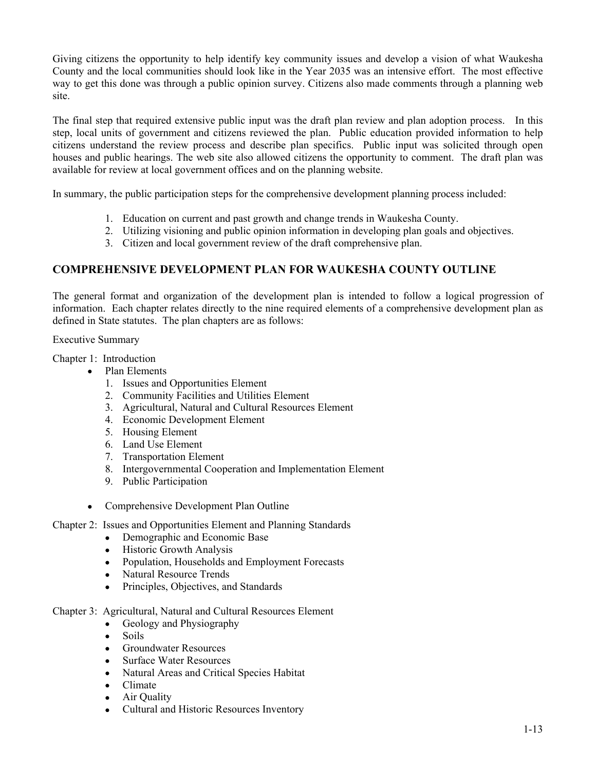Giving citizens the opportunity to help identify key community issues and develop a vision of what Waukesha County and the local communities should look like in the Year 2035 was an intensive effort. The most effective way to get this done was through a public opinion survey. Citizens also made comments through a planning web site.

The final step that required extensive public input was the draft plan review and plan adoption process. In this step, local units of government and citizens reviewed the plan. Public education provided information to help citizens understand the review process and describe plan specifics. Public input was solicited through open houses and public hearings. The web site also allowed citizens the opportunity to comment. The draft plan was available for review at local government offices and on the planning website.

In summary, the public participation steps for the comprehensive development planning process included:

- 1. Education on current and past growth and change trends in Waukesha County.
- 2. Utilizing visioning and public opinion information in developing plan goals and objectives.
- 3. Citizen and local government review of the draft comprehensive plan.

### **COMPREHENSIVE DEVELOPMENT PLAN FOR WAUKESHA COUNTY OUTLINE**

The general format and organization of the development plan is intended to follow a logical progression of information. Each chapter relates directly to the nine required elements of a comprehensive development plan as defined in State statutes. The plan chapters are as follows:

Executive Summary

Chapter 1: Introduction

- Plan Elements
	- 1. Issues and Opportunities Element
	- 2. Community Facilities and Utilities Element
	- 3. Agricultural, Natural and Cultural Resources Element
	- 4. Economic Development Element
	- 5. Housing Element
	- 6. Land Use Element
	- 7. Transportation Element
	- 8. Intergovernmental Cooperation and Implementation Element
	- 9. Public Participation
- Comprehensive Development Plan Outline

### Chapter 2: Issues and Opportunities Element and Planning Standards

- Demographic and Economic Base
- Historic Growth Analysis
- Population, Households and Employment Forecasts
- Natural Resource Trends
- Principles, Objectives, and Standards

### Chapter 3: Agricultural, Natural and Cultural Resources Element

- Geology and Physiography
	- Soils
	- Groundwater Resources
	- Surface Water Resources
	- Natural Areas and Critical Species Habitat
	- Climate
	- Air Quality
	- Cultural and Historic Resources Inventory